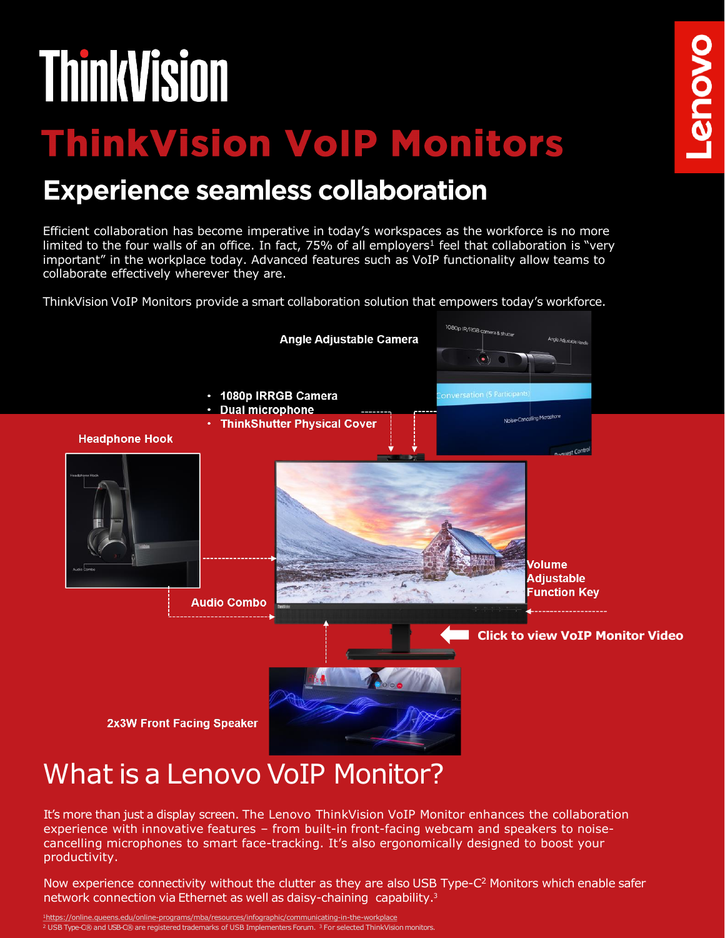# **ThinkVision**

# **ThinkVision VoIP Monitors**

# **Experience seamless collaboration**

Efficient collaboration has become imperative in today's workspaces as the workforce is no more limited to the four walls of an office. In fact,  $75%$  of all employers<sup>1</sup> feel that collaboration is "very important" in the workplace today. Advanced features such as VoIP functionality allow teams to collaborate effectively wherever they are.

ThinkVision VoIP Monitors provide a smart collaboration solution that empowers today's workforce.



It's more than just a display screen. The Lenovo ThinkVision VoIP Monitor enhances the collaboration experience with innovative features – from built-in front-facing webcam and speakers to noisecancelling microphones to smart face-tracking. It's also ergonomically designed to boost your productivity.

Now experience connectivity without the clutter as they are also USB Type-C<sup>2</sup> Monitors which enable safer network connection via Ethernet as well as daisy-chaining capability.<sup>3</sup>